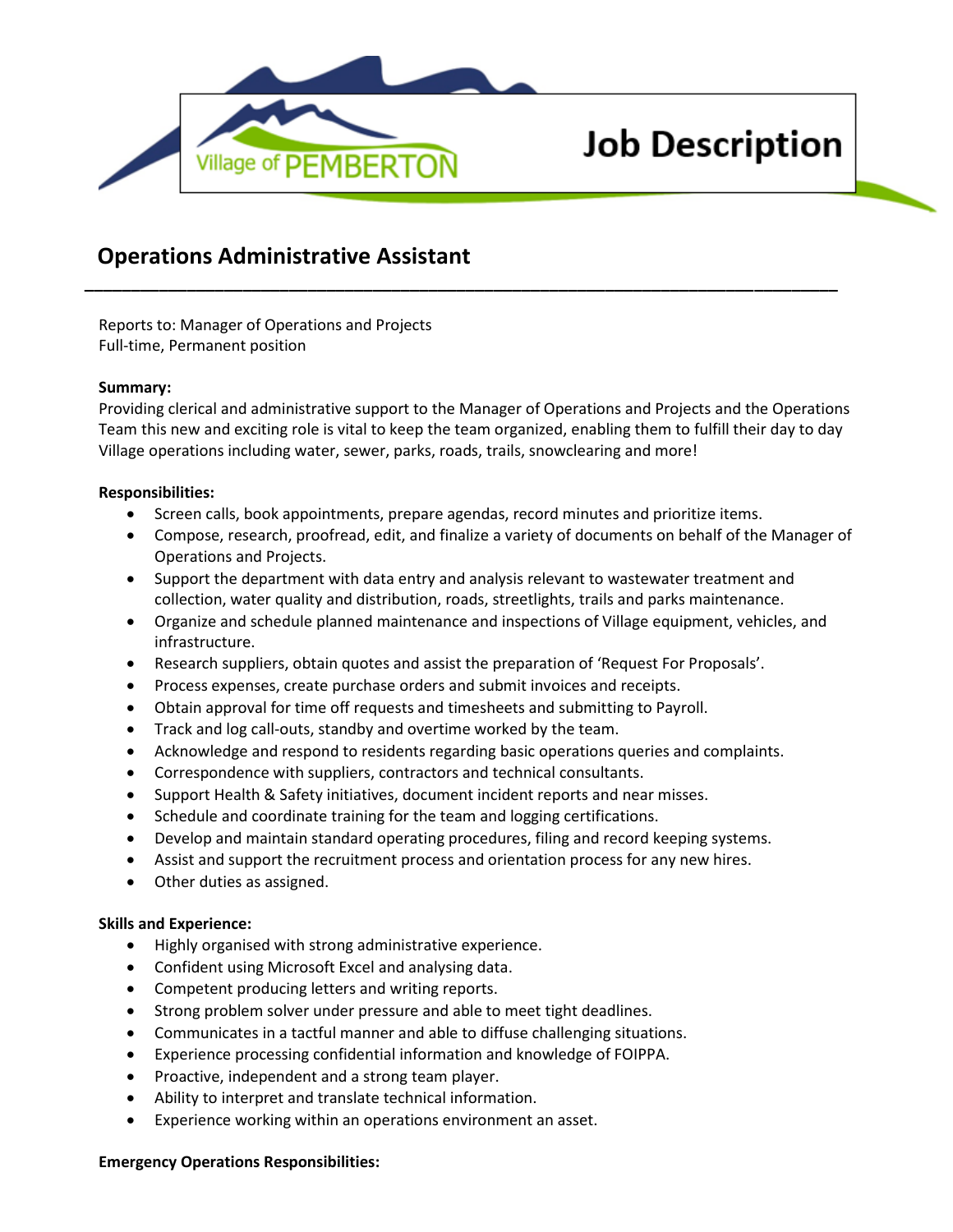

# **Job Description**

# **Operations Administrative Assistant**

Reports to: Manager of Operations and Projects Full-time, Permanent position

## **Summary:**

Providing clerical and administrative support to the Manager of Operations and Projects and the Operations Team this new and exciting role is vital to keep the team organized, enabling them to fulfill their day to day Village operations including water, sewer, parks, roads, trails, snowclearing and more!

**\_\_\_\_\_\_\_\_\_\_\_\_\_\_\_\_\_\_\_\_\_\_\_\_\_\_\_\_\_\_\_\_\_\_\_\_\_\_\_\_\_\_\_\_\_\_\_\_\_\_\_\_\_\_\_\_\_\_\_\_\_\_\_\_\_\_\_\_\_\_\_\_\_\_\_\_\_\_\_\_\_**

## **Responsibilities:**

- Screen calls, book appointments, prepare agendas, record minutes and prioritize items.
- Compose, research, proofread, edit, and finalize a variety of documents on behalf of the Manager of Operations and Projects.
- Support the department with data entry and analysis relevant to wastewater treatment and collection, water quality and distribution, roads, streetlights, trails and parks maintenance.
- Organize and schedule planned maintenance and inspections of Village equipment, vehicles, and infrastructure.
- Research suppliers, obtain quotes and assist the preparation of 'Request For Proposals'.
- Process expenses, create purchase orders and submit invoices and receipts.
- Obtain approval for time off requests and timesheets and submitting to Payroll.
- Track and log call-outs, standby and overtime worked by the team.
- Acknowledge and respond to residents regarding basic operations queries and complaints.
- Correspondence with suppliers, contractors and technical consultants.
- Support Health & Safety initiatives, document incident reports and near misses.
- Schedule and coordinate training for the team and logging certifications.
- Develop and maintain standard operating procedures, filing and record keeping systems.
- Assist and support the recruitment process and orientation process for any new hires.
- Other duties as assigned.

#### **Skills and Experience:**

- Highly organised with strong administrative experience.
- Confident using Microsoft Excel and analysing data.
- Competent producing letters and writing reports.
- Strong problem solver under pressure and able to meet tight deadlines.
- Communicates in a tactful manner and able to diffuse challenging situations.
- Experience processing confidential information and knowledge of FOIPPA.
- Proactive, independent and a strong team player.
- Ability to interpret and translate technical information.
- Experience working within an operations environment an asset.

#### **Emergency Operations Responsibilities:**